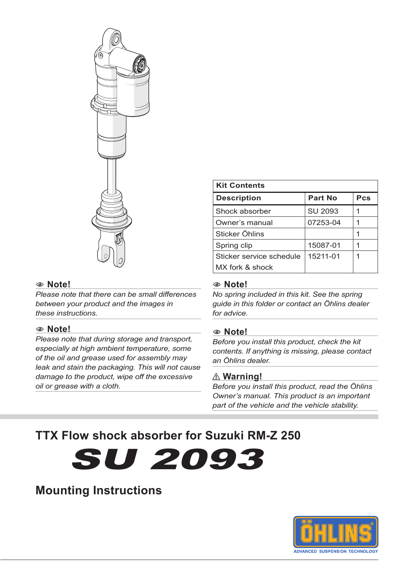

#### 1 **Note!**

*Please note that there can be small differences between your product and the images in these instructions.*

#### 1 **Note!**

*Please note that during storage and transport, especially at high ambient temperature, some of the oil and grease used for assembly may leak and stain the packaging. This will not cause damage to the product, wipe off the excessive oil or grease with a cloth.*

| <b>Kit Contents</b>      |          |     |  |  |
|--------------------------|----------|-----|--|--|
| <b>Description</b>       | Part No  | Pcs |  |  |
| Shock absorber           | SU 2093  |     |  |  |
| Owner's manual           | 07253-04 |     |  |  |
| Sticker Öhlins           |          |     |  |  |
| Spring clip              | 15087-01 |     |  |  |
| Sticker service schedule | 15211-01 |     |  |  |
| MX fork & shock          |          |     |  |  |

#### 1 **Note!**

*No spring included in this kit. See the spring guide in this folder or contact an Öhlins dealer for advice.*

#### 1 **Note!**

*Before you install this product, check the kit contents. If anything is missing, please contact an Öhlins dealer.*

#### ⚠ **Warning!**

*Before you install this product, read the Öhlins Owner's manual. This product is an important part of the vehicle and the vehicle stability.*

# **TTX Flow shock absorber for Suzuki RM-Z 250**

SU 2093

# **Mounting Instructions**

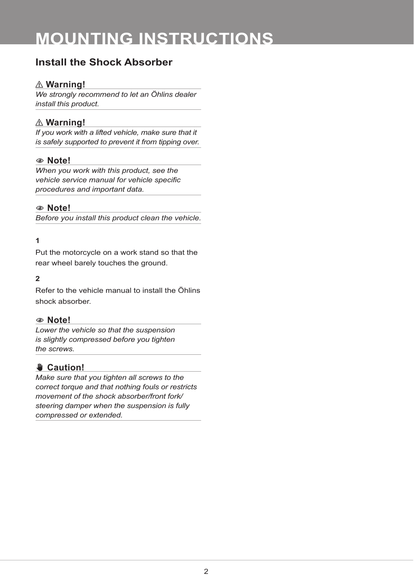# **MOUNTING INSTRUCTIONS**

## **Install the Shock Absorber**

## ⚠ **Warning!**

*We strongly recommend to let an Öhlins dealer install this product.*

### ⚠ **Warning!**

*If you work with a lifted vehicle, make sure that it is safely supported to prevent it from tipping over.*

### 1 **Note!**

*When you work with this product, see the vehicle service manual for vehicle specific procedures and important data.*

### 1 **Note!**

*Before you install this product clean the vehicle.*

### **1**

Put the motorcycle on a work stand so that the rear wheel barely touches the ground.

#### **2**

Refer to the vehicle manual to install the Öhlins shock absorber.

#### 1 **Note!**

*Lower the vehicle so that the suspension is slightly compressed before you tighten the screws.*

## ✋**✋ Caution!**

*Make sure that you tighten all screws to the correct torque and that nothing fouls or restricts movement of the shock absorber/front fork/ steering damper when the suspension is fully compressed or extended.*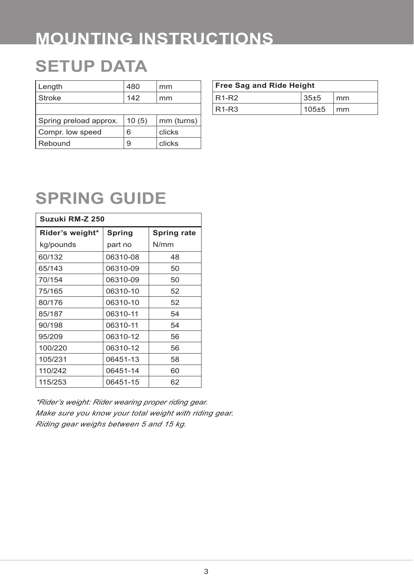# **MOUNTING INSTRUCTIONS**

# **SETUP DATA**

| Length                 | 480   | mm         |
|------------------------|-------|------------|
| Stroke                 | 142   | mm         |
|                        |       |            |
| Spring preload approx. | 10(5) | mm (turns) |
| Compr. low speed       | 6     | clicks     |
| Rebound                | 9     | clicks     |

| <b>Free Sag and Ride Height</b> |           |                        |  |  |
|---------------------------------|-----------|------------------------|--|--|
| $R1-R2$                         | 35±5      | mm                     |  |  |
| $R1-R3$                         | $105\pm5$ | $\mathsf{m}\mathsf{m}$ |  |  |

# **SPRING GUIDE**

| Suzuki RM-Z 250 |          |             |  |  |
|-----------------|----------|-------------|--|--|
| Rider's weight* | Spring   | Spring rate |  |  |
| kg/pounds       | part no  | N/mm        |  |  |
| 60/132          | 06310-08 | 48          |  |  |
| 65/143          | 06310-09 | 50          |  |  |
| 70/154          | 06310-09 | 50          |  |  |
| 75/165          | 06310-10 | 52          |  |  |
| 80/176          | 06310-10 | 52          |  |  |
| 85/187          | 06310-11 | 54          |  |  |
| 90/198          | 06310-11 | 54          |  |  |
| 95/209          | 06310-12 | 56          |  |  |
| 100/220         | 06310-12 | 56          |  |  |
| 105/231         | 06451-13 | 58          |  |  |
| 110/242         | 06451-14 | 60          |  |  |
| 115/253         | 06451-15 | 62          |  |  |

*\*Rider's weight: Rider wearing proper riding gear. Make sure you know your total weight with riding gear. Riding gear weighs between 5 and 15 kg.*